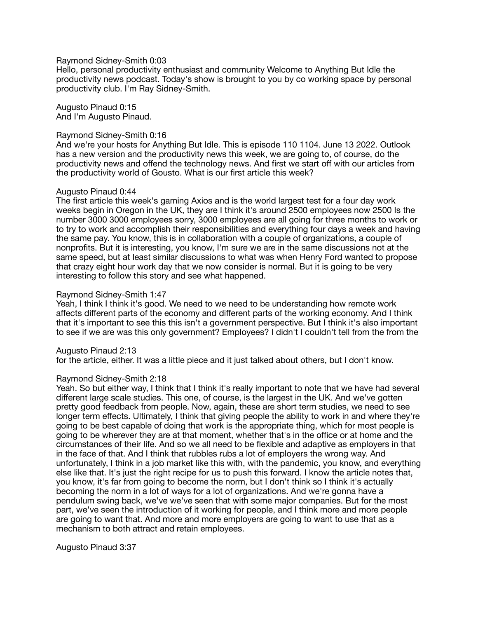### Raymond Sidney-Smith 0:03

Hello, personal productivity enthusiast and community Welcome to Anything But Idle the productivity news podcast. Today's show is brought to you by co working space by personal productivity club. I'm Ray Sidney-Smith.

Augusto Pinaud 0:15 And I'm Augusto Pinaud.

### Raymond Sidney-Smith 0:16

And we're your hosts for Anything But Idle. This is episode 110 1104. June 13 2022. Outlook has a new version and the productivity news this week, we are going to, of course, do the productivity news and offend the technology news. And first we start off with our articles from the productivity world of Gousto. What is our first article this week?

### Augusto Pinaud 0:44

The first article this week's gaming Axios and is the world largest test for a four day work weeks begin in Oregon in the UK, they are I think it's around 2500 employees now 2500 Is the number 3000 3000 employees sorry, 3000 employees are all going for three months to work or to try to work and accomplish their responsibilities and everything four days a week and having the same pay. You know, this is in collaboration with a couple of organizations, a couple of nonprofits. But it is interesting, you know, I'm sure we are in the same discussions not at the same speed, but at least similar discussions to what was when Henry Ford wanted to propose that crazy eight hour work day that we now consider is normal. But it is going to be very interesting to follow this story and see what happened.

### Raymond Sidney-Smith 1:47

Yeah, I think I think it's good. We need to we need to be understanding how remote work affects different parts of the economy and different parts of the working economy. And I think that it's important to see this this isn't a government perspective. But I think it's also important to see if we are was this only government? Employees? I didn't I couldn't tell from the from the

Augusto Pinaud 2:13

for the article, either. It was a little piece and it just talked about others, but I don't know.

#### Raymond Sidney-Smith 2:18

Yeah. So but either way, I think that I think it's really important to note that we have had several different large scale studies. This one, of course, is the largest in the UK. And we've gotten pretty good feedback from people. Now, again, these are short term studies, we need to see longer term effects. Ultimately, I think that giving people the ability to work in and where they're going to be best capable of doing that work is the appropriate thing, which for most people is going to be wherever they are at that moment, whether that's in the office or at home and the circumstances of their life. And so we all need to be flexible and adaptive as employers in that in the face of that. And I think that rubbles rubs a lot of employers the wrong way. And unfortunately, I think in a job market like this with, with the pandemic, you know, and everything else like that. It's just the right recipe for us to push this forward. I know the article notes that, you know, it's far from going to become the norm, but I don't think so I think it's actually becoming the norm in a lot of ways for a lot of organizations. And we're gonna have a pendulum swing back, we've we've seen that with some major companies. But for the most part, we've seen the introduction of it working for people, and I think more and more people are going to want that. And more and more employers are going to want to use that as a mechanism to both attract and retain employees.

# Augusto Pinaud 3:37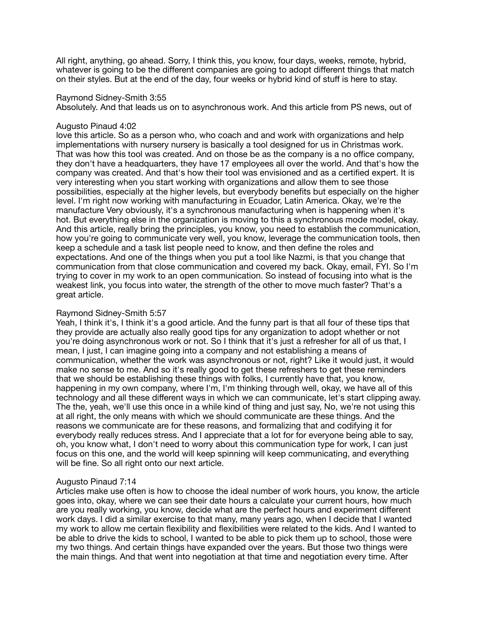All right, anything, go ahead. Sorry, I think this, you know, four days, weeks, remote, hybrid, whatever is going to be the different companies are going to adopt different things that match on their styles. But at the end of the day, four weeks or hybrid kind of stuff is here to stay.

### Raymond Sidney-Smith 3:55

Absolutely. And that leads us on to asynchronous work. And this article from PS news, out of

## Augusto Pinaud 4:02

love this article. So as a person who, who coach and and work with organizations and help implementations with nursery nursery is basically a tool designed for us in Christmas work. That was how this tool was created. And on those be as the company is a no office company, they don't have a headquarters, they have 17 employees all over the world. And that's how the company was created. And that's how their tool was envisioned and as a certified expert. It is very interesting when you start working with organizations and allow them to see those possibilities, especially at the higher levels, but everybody benefits but especially on the higher level. I'm right now working with manufacturing in Ecuador, Latin America. Okay, we're the manufacture Very obviously, it's a synchronous manufacturing when is happening when it's hot. But everything else in the organization is moving to this a synchronous mode model, okay. And this article, really bring the principles, you know, you need to establish the communication, how you're going to communicate very well, you know, leverage the communication tools, then keep a schedule and a task list people need to know, and then define the roles and expectations. And one of the things when you put a tool like Nazmi, is that you change that communication from that close communication and covered my back. Okay, email, FYI. So I'm trying to cover in my work to an open communication. So instead of focusing into what is the weakest link, you focus into water, the strength of the other to move much faster? That's a great article.

# Raymond Sidney-Smith 5:57

Yeah, I think it's, I think it's a good article. And the funny part is that all four of these tips that they provide are actually also really good tips for any organization to adopt whether or not you're doing asynchronous work or not. So I think that it's just a refresher for all of us that, I mean, I just, I can imagine going into a company and not establishing a means of communication, whether the work was asynchronous or not, right? Like it would just, it would make no sense to me. And so it's really good to get these refreshers to get these reminders that we should be establishing these things with folks, I currently have that, you know, happening in my own company, where I'm, I'm thinking through well, okay, we have all of this technology and all these different ways in which we can communicate, let's start clipping away. The the, yeah, we'll use this once in a while kind of thing and just say, No, we're not using this at all right, the only means with which we should communicate are these things. And the reasons we communicate are for these reasons, and formalizing that and codifying it for everybody really reduces stress. And I appreciate that a lot for for everyone being able to say, oh, you know what, I don't need to worry about this communication type for work, I can just focus on this one, and the world will keep spinning will keep communicating, and everything will be fine. So all right onto our next article.

# Augusto Pinaud 7:14

Articles make use often is how to choose the ideal number of work hours, you know, the article goes into, okay, where we can see their date hours a calculate your current hours, how much are you really working, you know, decide what are the perfect hours and experiment different work days. I did a similar exercise to that many, many years ago, when I decide that I wanted my work to allow me certain flexibility and flexibilities were related to the kids. And I wanted to be able to drive the kids to school, I wanted to be able to pick them up to school, those were my two things. And certain things have expanded over the years. But those two things were the main things. And that went into negotiation at that time and negotiation every time. After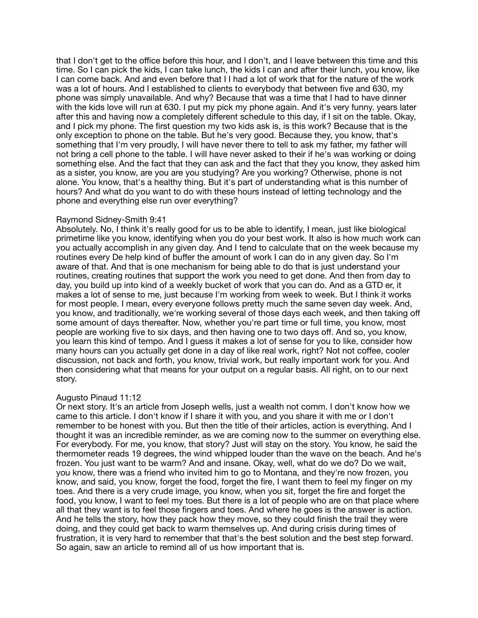that I don't get to the office before this hour, and I don't, and I leave between this time and this time. So I can pick the kids, I can take lunch, the kids I can and after their lunch, you know, like I can come back. And and even before that I I had a lot of work that for the nature of the work was a lot of hours. And I established to clients to everybody that between five and 630, my phone was simply unavailable. And why? Because that was a time that I had to have dinner with the kids love will run at 630. I put my pick my phone again. And it's very funny. years later after this and having now a completely different schedule to this day, if I sit on the table. Okay, and I pick my phone. The first question my two kids ask is, is this work? Because that is the only exception to phone on the table. But he's very good. Because they, you know, that's something that I'm very proudly, I will have never there to tell to ask my father, my father will not bring a cell phone to the table. I will have never asked to their if he's was working or doing something else. And the fact that they can ask and the fact that they you know, they asked him as a sister, you know, are you are you studying? Are you working? Otherwise, phone is not alone. You know, that's a healthy thing. But it's part of understanding what is this number of hours? And what do you want to do with these hours instead of letting technology and the phone and everything else run over everything?

### Raymond Sidney-Smith 9:41

Absolutely. No, I think it's really good for us to be able to identify, I mean, just like biological primetime like you know, identifying when you do your best work. It also is how much work can you actually accomplish in any given day. And I tend to calculate that on the week because my routines every De help kind of buffer the amount of work I can do in any given day. So I'm aware of that. And that is one mechanism for being able to do that is just understand your routines, creating routines that support the work you need to get done. And then from day to day, you build up into kind of a weekly bucket of work that you can do. And as a GTD er, it makes a lot of sense to me, just because I'm working from week to week. But I think it works for most people. I mean, every everyone follows pretty much the same seven day week. And, you know, and traditionally, we're working several of those days each week, and then taking off some amount of days thereafter. Now, whether you're part time or full time, you know, most people are working five to six days, and then having one to two days off. And so, you know, you learn this kind of tempo. And I guess it makes a lot of sense for you to like, consider how many hours can you actually get done in a day of like real work, right? Not not coffee, cooler discussion, not back and forth, you know, trivial work, but really important work for you. And then considering what that means for your output on a regular basis. All right, on to our next story.

# Augusto Pinaud 11:12

Or next story. It's an article from Joseph wells, just a wealth not comm. I don't know how we came to this article. I don't know if I share it with you, and you share it with me or I don't remember to be honest with you. But then the title of their articles, action is everything. And I thought it was an incredible reminder, as we are coming now to the summer on everything else. For everybody. For me, you know, that story? Just will stay on the story. You know, he said the thermometer reads 19 degrees, the wind whipped louder than the wave on the beach. And he's frozen. You just want to be warm? And and insane. Okay, well, what do we do? Do we wait, you know, there was a friend who invited him to go to Montana, and they're now frozen, you know, and said, you know, forget the food, forget the fire, I want them to feel my finger on my toes. And there is a very crude image, you know, when you sit, forget the fire and forget the food, you know, I want to feel my toes. But there is a lot of people who are on that place where all that they want is to feel those fingers and toes. And where he goes is the answer is action. And he tells the story, how they pack how they move, so they could finish the trail they were doing, and they could get back to warm themselves up. And during crisis during times of frustration, it is very hard to remember that that's the best solution and the best step forward. So again, saw an article to remind all of us how important that is.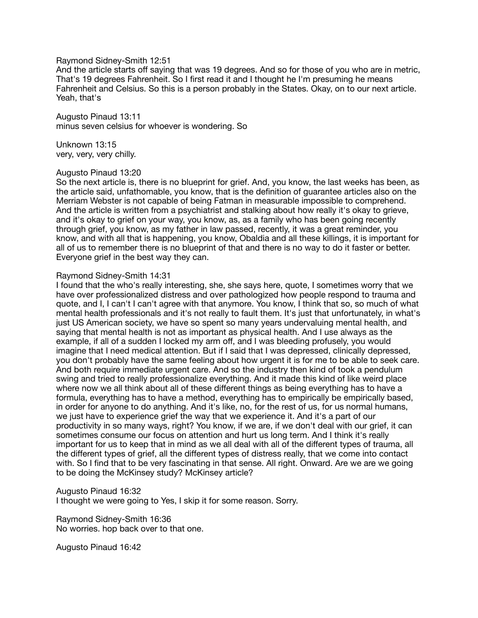## Raymond Sidney-Smith 12:51

And the article starts off saying that was 19 degrees. And so for those of you who are in metric, That's 19 degrees Fahrenheit. So I first read it and I thought he I'm presuming he means Fahrenheit and Celsius. So this is a person probably in the States. Okay, on to our next article. Yeah, that's

Augusto Pinaud 13:11 minus seven celsius for whoever is wondering. So

Unknown 13:15 very, very, very chilly.

#### Augusto Pinaud 13:20

So the next article is, there is no blueprint for grief. And, you know, the last weeks has been, as the article said, unfathomable, you know, that is the definition of guarantee articles also on the Merriam Webster is not capable of being Fatman in measurable impossible to comprehend. And the article is written from a psychiatrist and stalking about how really it's okay to grieve, and it's okay to grief on your way, you know, as, as a family who has been going recently through grief, you know, as my father in law passed, recently, it was a great reminder, you know, and with all that is happening, you know, Obaldia and all these killings, it is important for all of us to remember there is no blueprint of that and there is no way to do it faster or better. Everyone grief in the best way they can.

#### Raymond Sidney-Smith 14:31

I found that the who's really interesting, she, she says here, quote, I sometimes worry that we have over professionalized distress and over pathologized how people respond to trauma and quote, and I, I can't I can't agree with that anymore. You know, I think that so, so much of what mental health professionals and it's not really to fault them. It's just that unfortunately, in what's just US American society, we have so spent so many years undervaluing mental health, and saying that mental health is not as important as physical health. And I use always as the example, if all of a sudden I locked my arm off, and I was bleeding profusely, you would imagine that I need medical attention. But if I said that I was depressed, clinically depressed, you don't probably have the same feeling about how urgent it is for me to be able to seek care. And both require immediate urgent care. And so the industry then kind of took a pendulum swing and tried to really professionalize everything. And it made this kind of like weird place where now we all think about all of these different things as being everything has to have a formula, everything has to have a method, everything has to empirically be empirically based, in order for anyone to do anything. And it's like, no, for the rest of us, for us normal humans, we just have to experience grief the way that we experience it. And it's a part of our productivity in so many ways, right? You know, if we are, if we don't deal with our grief, it can sometimes consume our focus on attention and hurt us long term. And I think it's really important for us to keep that in mind as we all deal with all of the different types of trauma, all the different types of grief, all the different types of distress really, that we come into contact with. So I find that to be very fascinating in that sense. All right. Onward. Are we are we going to be doing the McKinsey study? McKinsey article?

#### Augusto Pinaud 16:32

I thought we were going to Yes, I skip it for some reason. Sorry.

Raymond Sidney-Smith 16:36 No worries. hop back over to that one.

Augusto Pinaud 16:42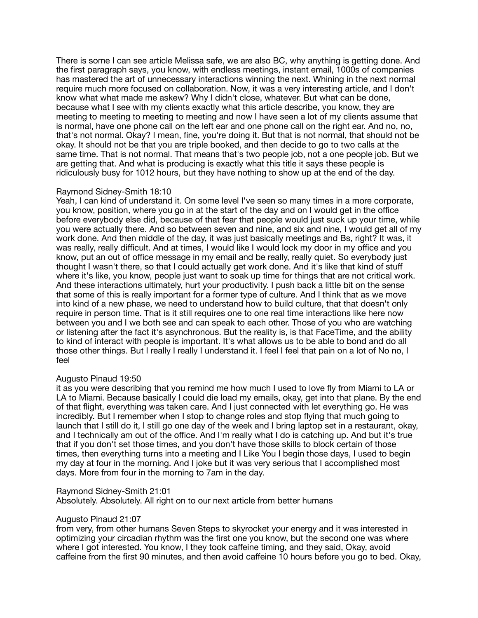There is some I can see article Melissa safe, we are also BC, why anything is getting done. And the first paragraph says, you know, with endless meetings, instant email, 1000s of companies has mastered the art of unnecessary interactions winning the next. Whining in the next normal require much more focused on collaboration. Now, it was a very interesting article, and I don't know what what made me askew? Why I didn't close, whatever. But what can be done, because what I see with my clients exactly what this article describe, you know, they are meeting to meeting to meeting to meeting and now I have seen a lot of my clients assume that is normal, have one phone call on the left ear and one phone call on the right ear. And no, no, that's not normal. Okay? I mean, fine, you're doing it. But that is not normal, that should not be okay. It should not be that you are triple booked, and then decide to go to two calls at the same time. That is not normal. That means that's two people job, not a one people job. But we are getting that. And what is producing is exactly what this title it says these people is ridiculously busy for 1012 hours, but they have nothing to show up at the end of the day.

# Raymond Sidney-Smith 18:10

Yeah, I can kind of understand it. On some level I've seen so many times in a more corporate, you know, position, where you go in at the start of the day and on I would get in the office before everybody else did, because of that fear that people would just suck up your time, while you were actually there. And so between seven and nine, and six and nine, I would get all of my work done. And then middle of the day, it was just basically meetings and Bs, right? It was, it was really, really difficult. And at times, I would like I would lock my door in my office and you know, put an out of office message in my email and be really, really quiet. So everybody just thought I wasn't there, so that I could actually get work done. And it's like that kind of stuff where it's like, you know, people just want to soak up time for things that are not critical work. And these interactions ultimately, hurt your productivity. I push back a little bit on the sense that some of this is really important for a former type of culture. And I think that as we move into kind of a new phase, we need to understand how to build culture, that that doesn't only require in person time. That is it still requires one to one real time interactions like here now between you and I we both see and can speak to each other. Those of you who are watching or listening after the fact it's asynchronous. But the reality is, is that FaceTime, and the ability to kind of interact with people is important. It's what allows us to be able to bond and do all those other things. But I really I really I understand it. I feel I feel that pain on a lot of No no, I feel

# Augusto Pinaud 19:50

it as you were describing that you remind me how much I used to love fly from Miami to LA or LA to Miami. Because basically I could die load my emails, okay, get into that plane. By the end of that flight, everything was taken care. And I just connected with let everything go. He was incredibly. But I remember when I stop to change roles and stop flying that much going to launch that I still do it, I still go one day of the week and I bring laptop set in a restaurant, okay, and I technically am out of the office. And I'm really what I do is catching up. And but it's true that if you don't set those times, and you don't have those skills to block certain of those times, then everything turns into a meeting and I Like You I begin those days, I used to begin my day at four in the morning. And I joke but it was very serious that I accomplished most days. More from four in the morning to 7am in the day.

Raymond Sidney-Smith 21:01

Absolutely. Absolutely. All right on to our next article from better humans

# Augusto Pinaud 21:07

from very, from other humans Seven Steps to skyrocket your energy and it was interested in optimizing your circadian rhythm was the first one you know, but the second one was where where I got interested. You know, I they took caffeine timing, and they said, Okay, avoid caffeine from the first 90 minutes, and then avoid caffeine 10 hours before you go to bed. Okay,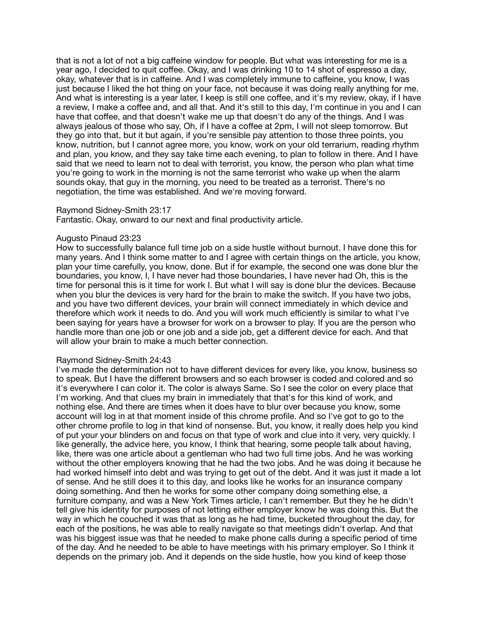that is not a lot of not a big caffeine window for people. But what was interesting for me is a year ago, I decided to quit coffee. Okay, and I was drinking 10 to 14 shot of espresso a day, okay, whatever that is in caffeine. And I was completely immune to caffeine, you know, I was just because I liked the hot thing on your face, not because it was doing really anything for me. And what is interesting is a year later, I keep is still one coffee, and it's my review, okay, if I have a review, I make a coffee and, and all that. And it's still to this day, I'm continue in you and I can have that coffee, and that doesn't wake me up that doesn't do any of the things. And I was always jealous of those who say, Oh, if I have a coffee at 2pm, I will not sleep tomorrow. But they go into that, but it but again, if you're sensible pay attention to those three points, you know, nutrition, but I cannot agree more, you know, work on your old terrarium, reading rhythm and plan, you know, and they say take time each evening, to plan to follow in there. And I have said that we need to learn not to deal with terrorist, you know, the person who plan what time you're going to work in the morning is not the same terrorist who wake up when the alarm sounds okay, that guy in the morning, you need to be treated as a terrorist. There's no negotiation, the time was established. And we're moving forward.

#### Raymond Sidney-Smith 23:17

Fantastic. Okay, onward to our next and final productivity article.

#### Augusto Pinaud 23:23

How to successfully balance full time job on a side hustle without burnout. I have done this for many years. And I think some matter to and I agree with certain things on the article, you know, plan your time carefully, you know, done. But if for example, the second one was done blur the boundaries, you know, I, I have never had those boundaries, I have never had Oh, this is the time for personal this is it time for work I. But what I will say is done blur the devices. Because when you blur the devices is very hard for the brain to make the switch. If you have two jobs, and you have two different devices, your brain will connect immediately in which device and therefore which work it needs to do. And you will work much efficiently is similar to what I've been saying for years have a browser for work on a browser to play. If you are the person who handle more than one job or one job and a side job, get a different device for each. And that will allow your brain to make a much better connection.

#### Raymond Sidney-Smith 24:43

I've made the determination not to have different devices for every like, you know, business so to speak. But I have the different browsers and so each browser is coded and colored and so it's everywhere I can color it. The color is always Same. So I see the color on every place that I'm working. And that clues my brain in immediately that that's for this kind of work, and nothing else. And there are times when it does have to blur over because you know, some account will log in at that moment inside of this chrome profile. And so I've got to go to the other chrome profile to log in that kind of nonsense. But, you know, it really does help you kind of put your your blinders on and focus on that type of work and clue into it very, very quickly. I like generally, the advice here, you know, I think that hearing, some people talk about having, like, there was one article about a gentleman who had two full time jobs. And he was working without the other employers knowing that he had the two jobs. And he was doing it because he had worked himself into debt and was trying to get out of the debt. And it was just it made a lot of sense. And he still does it to this day, and looks like he works for an insurance company doing something. And then he works for some other company doing something else, a furniture company, and was a New York Times article, I can't remember. But they he he didn't tell give his identity for purposes of not letting either employer know he was doing this. But the way in which he couched it was that as long as he had time, bucketed throughout the day, for each of the positions, he was able to really navigate so that meetings didn't overlap. And that was his biggest issue was that he needed to make phone calls during a specific period of time of the day. And he needed to be able to have meetings with his primary employer. So I think it depends on the primary job. And it depends on the side hustle, how you kind of keep those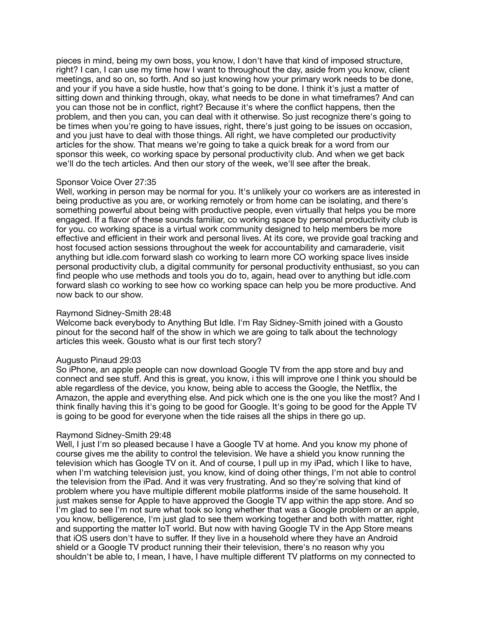pieces in mind, being my own boss, you know, I don't have that kind of imposed structure, right? I can, I can use my time how I want to throughout the day, aside from you know, client meetings, and so on, so forth. And so just knowing how your primary work needs to be done, and your if you have a side hustle, how that's going to be done. I think it's just a matter of sitting down and thinking through, okay, what needs to be done in what timeframes? And can you can those not be in conflict, right? Because it's where the conflict happens, then the problem, and then you can, you can deal with it otherwise. So just recognize there's going to be times when you're going to have issues, right, there's just going to be issues on occasion, and you just have to deal with those things. All right, we have completed our productivity articles for the show. That means we're going to take a quick break for a word from our sponsor this week, co working space by personal productivity club. And when we get back we'll do the tech articles. And then our story of the week, we'll see after the break.

### Sponsor Voice Over 27:35

Well, working in person may be normal for you. It's unlikely your co workers are as interested in being productive as you are, or working remotely or from home can be isolating, and there's something powerful about being with productive people, even virtually that helps you be more engaged. If a flavor of these sounds familiar, co working space by personal productivity club is for you. co working space is a virtual work community designed to help members be more effective and efficient in their work and personal lives. At its core, we provide goal tracking and host focused action sessions throughout the week for accountability and camaraderie, visit anything but idle.com forward slash co working to learn more CO working space lives inside personal productivity club, a digital community for personal productivity enthusiast, so you can find people who use methods and tools you do to, again, head over to anything but idle.com forward slash co working to see how co working space can help you be more productive. And now back to our show.

### Raymond Sidney-Smith 28:48

Welcome back everybody to Anything But Idle. I'm Ray Sidney-Smith joined with a Gousto pinout for the second half of the show in which we are going to talk about the technology articles this week. Gousto what is our first tech story?

### Augusto Pinaud 29:03

So iPhone, an apple people can now download Google TV from the app store and buy and connect and see stuff. And this is great, you know, i this will improve one I think you should be able regardless of the device, you know, being able to access the Google, the Netflix, the Amazon, the apple and everything else. And pick which one is the one you like the most? And I think finally having this it's going to be good for Google. It's going to be good for the Apple TV is going to be good for everyone when the tide raises all the ships in there go up.

# Raymond Sidney-Smith 29:48

Well, I just I'm so pleased because I have a Google TV at home. And you know my phone of course gives me the ability to control the television. We have a shield you know running the television which has Google TV on it. And of course, I pull up in my iPad, which I like to have, when I'm watching television just, you know, kind of doing other things, I'm not able to control the television from the iPad. And it was very frustrating. And so they're solving that kind of problem where you have multiple different mobile platforms inside of the same household. It just makes sense for Apple to have approved the Google TV app within the app store. And so I'm glad to see I'm not sure what took so long whether that was a Google problem or an apple, you know, belligerence, I'm just glad to see them working together and both with matter, right and supporting the matter IoT world. But now with having Google TV in the App Store means that iOS users don't have to suffer. If they live in a household where they have an Android shield or a Google TV product running their their television, there's no reason why you shouldn't be able to, I mean, I have, I have multiple different TV platforms on my connected to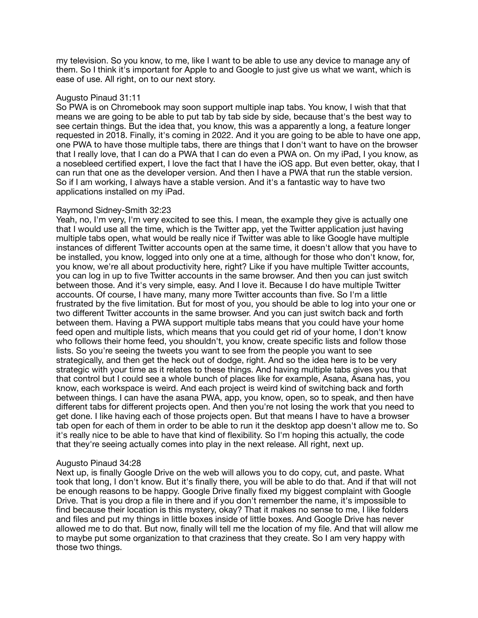my television. So you know, to me, like I want to be able to use any device to manage any of them. So I think it's important for Apple to and Google to just give us what we want, which is ease of use. All right, on to our next story.

## Augusto Pinaud 31:11

So PWA is on Chromebook may soon support multiple inap tabs. You know, I wish that that means we are going to be able to put tab by tab side by side, because that's the best way to see certain things. But the idea that, you know, this was a apparently a long, a feature longer requested in 2018. Finally, it's coming in 2022. And it you are going to be able to have one app, one PWA to have those multiple tabs, there are things that I don't want to have on the browser that I really love, that I can do a PWA that I can do even a PWA on. On my iPad, I you know, as a nosebleed certified expert, I love the fact that I have the iOS app. But even better, okay, that I can run that one as the developer version. And then I have a PWA that run the stable version. So if I am working, I always have a stable version. And it's a fantastic way to have two applications installed on my iPad.

# Raymond Sidney-Smith 32:23

Yeah, no, I'm very, I'm very excited to see this. I mean, the example they give is actually one that I would use all the time, which is the Twitter app, yet the Twitter application just having multiple tabs open, what would be really nice if Twitter was able to like Google have multiple instances of different Twitter accounts open at the same time, it doesn't allow that you have to be installed, you know, logged into only one at a time, although for those who don't know, for, you know, we're all about productivity here, right? Like if you have multiple Twitter accounts, you can log in up to five Twitter accounts in the same browser. And then you can just switch between those. And it's very simple, easy. And I love it. Because I do have multiple Twitter accounts. Of course, I have many, many more Twitter accounts than five. So I'm a little frustrated by the five limitation. But for most of you, you should be able to log into your one or two different Twitter accounts in the same browser. And you can just switch back and forth between them. Having a PWA support multiple tabs means that you could have your home feed open and multiple lists, which means that you could get rid of your home, I don't know who follows their home feed, you shouldn't, you know, create specific lists and follow those lists. So you're seeing the tweets you want to see from the people you want to see strategically, and then get the heck out of dodge, right. And so the idea here is to be very strategic with your time as it relates to these things. And having multiple tabs gives you that that control but I could see a whole bunch of places like for example, Asana, Asana has, you know, each workspace is weird. And each project is weird kind of switching back and forth between things. I can have the asana PWA, app, you know, open, so to speak, and then have different tabs for different projects open. And then you're not losing the work that you need to get done. I like having each of those projects open. But that means I have to have a browser tab open for each of them in order to be able to run it the desktop app doesn't allow me to. So it's really nice to be able to have that kind of flexibility. So I'm hoping this actually, the code that they're seeing actually comes into play in the next release. All right, next up.

# Augusto Pinaud 34:28

Next up, is finally Google Drive on the web will allows you to do copy, cut, and paste. What took that long, I don't know. But it's finally there, you will be able to do that. And if that will not be enough reasons to be happy. Google Drive finally fixed my biggest complaint with Google Drive. That is you drop a file in there and if you don't remember the name, it's impossible to find because their location is this mystery, okay? That it makes no sense to me, I like folders and files and put my things in little boxes inside of little boxes. And Google Drive has never allowed me to do that. But now, finally will tell me the location of my file. And that will allow me to maybe put some organization to that craziness that they create. So I am very happy with those two things.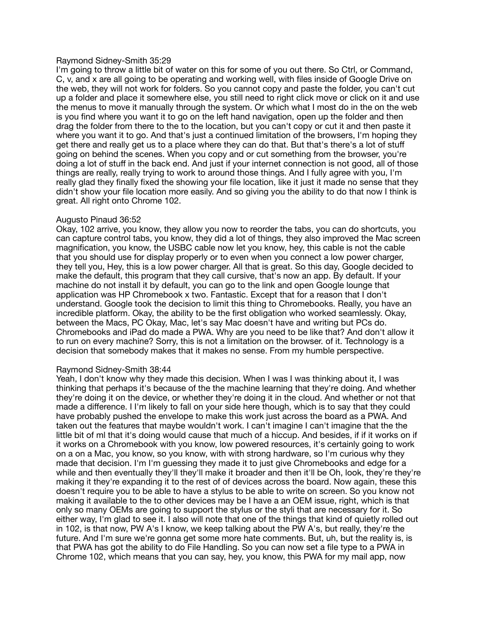### Raymond Sidney-Smith 35:29

I'm going to throw a little bit of water on this for some of you out there. So Ctrl, or Command, C, v, and x are all going to be operating and working well, with files inside of Google Drive on the web, they will not work for folders. So you cannot copy and paste the folder, you can't cut up a folder and place it somewhere else, you still need to right click move or click on it and use the menus to move it manually through the system. Or which what I most do in the on the web is you find where you want it to go on the left hand navigation, open up the folder and then drag the folder from there to the to the location, but you can't copy or cut it and then paste it where you want it to go. And that's just a continued limitation of the browsers, I'm hoping they get there and really get us to a place where they can do that. But that's there's a lot of stuff going on behind the scenes. When you copy and or cut something from the browser, you're doing a lot of stuff in the back end. And just if your internet connection is not good, all of those things are really, really trying to work to around those things. And I fully agree with you, I'm really glad they finally fixed the showing your file location, like it just it made no sense that they didn't show your file location more easily. And so giving you the ability to do that now I think is great. All right onto Chrome 102.

### Augusto Pinaud 36:52

Okay, 102 arrive, you know, they allow you now to reorder the tabs, you can do shortcuts, you can capture control tabs, you know, they did a lot of things, they also improved the Mac screen magnification, you know, the USBC cable now let you know, hey, this cable is not the cable that you should use for display properly or to even when you connect a low power charger, they tell you, Hey, this is a low power charger. All that is great. So this day, Google decided to make the default, this program that they call cursive, that's now an app. By default. If your machine do not install it by default, you can go to the link and open Google lounge that application was HP Chromebook x two. Fantastic. Except that for a reason that I don't understand. Google took the decision to limit this thing to Chromebooks. Really, you have an incredible platform. Okay, the ability to be the first obligation who worked seamlessly. Okay, between the Macs, PC Okay, Mac, let's say Mac doesn't have and writing but PCs do. Chromebooks and iPad do made a PWA. Why are you need to be like that? And don't allow it to run on every machine? Sorry, this is not a limitation on the browser. of it. Technology is a decision that somebody makes that it makes no sense. From my humble perspective.

# Raymond Sidney-Smith 38:44

Yeah, I don't know why they made this decision. When I was I was thinking about it, I was thinking that perhaps it's because of the the machine learning that they're doing. And whether they're doing it on the device, or whether they're doing it in the cloud. And whether or not that made a difference. I I'm likely to fall on your side here though, which is to say that they could have probably pushed the envelope to make this work just across the board as a PWA. And taken out the features that maybe wouldn't work. I can't imagine I can't imagine that the the little bit of ml that it's doing would cause that much of a hiccup. And besides, if if it works on if it works on a Chromebook with you know, low powered resources, it's certainly going to work on a on a Mac, you know, so you know, with with strong hardware, so I'm curious why they made that decision. I'm I'm guessing they made it to just give Chromebooks and edge for a while and then eventually they'll they'll make it broader and then it'll be Oh, look, they're they're making it they're expanding it to the rest of of devices across the board. Now again, these this doesn't require you to be able to have a stylus to be able to write on screen. So you know not making it available to the to other devices may be I have a an OEM issue, right, which is that only so many OEMs are going to support the stylus or the styli that are necessary for it. So either way, I'm glad to see it. I also will note that one of the things that kind of quietly rolled out in 102, is that now, PW A's I know, we keep talking about the PW A's, but really, they're the future. And I'm sure we're gonna get some more hate comments. But, uh, but the reality is, is that PWA has got the ability to do File Handling. So you can now set a file type to a PWA in Chrome 102, which means that you can say, hey, you know, this PWA for my mail app, now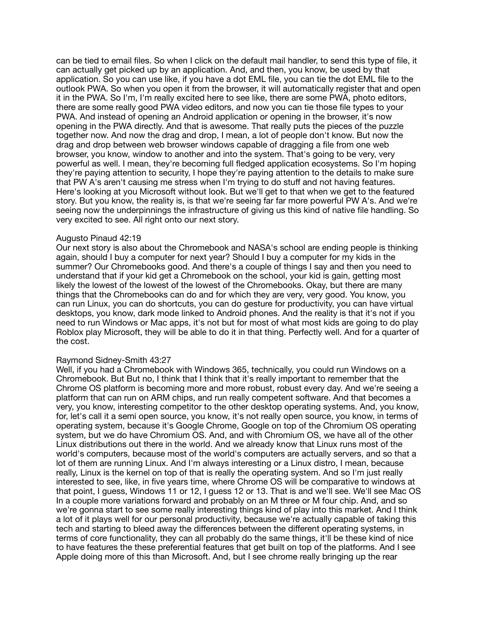can be tied to email files. So when I click on the default mail handler, to send this type of file, it can actually get picked up by an application. And, and then, you know, be used by that application. So you can use like, if you have a dot EML file, you can tie the dot EML file to the outlook PWA. So when you open it from the browser, it will automatically register that and open it in the PWA. So I'm, I'm really excited here to see like, there are some PWA, photo editors, there are some really good PWA video editors, and now you can tie those file types to your PWA. And instead of opening an Android application or opening in the browser, it's now opening in the PWA directly. And that is awesome. That really puts the pieces of the puzzle together now. And now the drag and drop, I mean, a lot of people don't know. But now the drag and drop between web browser windows capable of dragging a file from one web browser, you know, window to another and into the system. That's going to be very, very powerful as well. I mean, they're becoming full fledged application ecosystems. So I'm hoping they're paying attention to security, I hope they're paying attention to the details to make sure that PW A's aren't causing me stress when I'm trying to do stuff and not having features. Here's looking at you Microsoft without look. But we'll get to that when we get to the featured story. But you know, the reality is, is that we're seeing far far more powerful PW A's. And we're seeing now the underpinnings the infrastructure of giving us this kind of native file handling. So very excited to see. All right onto our next story.

#### Augusto Pinaud 42:19

Our next story is also about the Chromebook and NASA's school are ending people is thinking again, should I buy a computer for next year? Should I buy a computer for my kids in the summer? Our Chromebooks good. And there's a couple of things I say and then you need to understand that if your kid get a Chromebook on the school, your kid is gain, getting most likely the lowest of the lowest of the lowest of the Chromebooks. Okay, but there are many things that the Chromebooks can do and for which they are very, very good. You know, you can run Linux, you can do shortcuts, you can do gesture for productivity, you can have virtual desktops, you know, dark mode linked to Android phones. And the reality is that it's not if you need to run Windows or Mac apps, it's not but for most of what most kids are going to do play Roblox play Microsoft, they will be able to do it in that thing. Perfectly well. And for a quarter of the cost.

### Raymond Sidney-Smith 43:27

Well, if you had a Chromebook with Windows 365, technically, you could run Windows on a Chromebook. But But no, I think that I think that it's really important to remember that the Chrome OS platform is becoming more and more robust, robust every day. And we're seeing a platform that can run on ARM chips, and run really competent software. And that becomes a very, you know, interesting competitor to the other desktop operating systems. And, you know, for, let's call it a semi open source, you know, it's not really open source, you know, in terms of operating system, because it's Google Chrome, Google on top of the Chromium OS operating system, but we do have Chromium OS. And, and with Chromium OS, we have all of the other Linux distributions out there in the world. And we already know that Linux runs most of the world's computers, because most of the world's computers are actually servers, and so that a lot of them are running Linux. And I'm always interesting or a Linux distro, I mean, because really, Linux is the kernel on top of that is really the operating system. And so I'm just really interested to see, like, in five years time, where Chrome OS will be comparative to windows at that point, I guess, Windows 11 or 12, I guess 12 or 13. That is and we'll see. We'll see Mac OS In a couple more variations forward and probably on an M three or M four chip. And, and so we're gonna start to see some really interesting things kind of play into this market. And I think a lot of it plays well for our personal productivity, because we're actually capable of taking this tech and starting to bleed away the differences between the different operating systems, in terms of core functionality, they can all probably do the same things, it'll be these kind of nice to have features the these preferential features that get built on top of the platforms. And I see Apple doing more of this than Microsoft. And, but I see chrome really bringing up the rear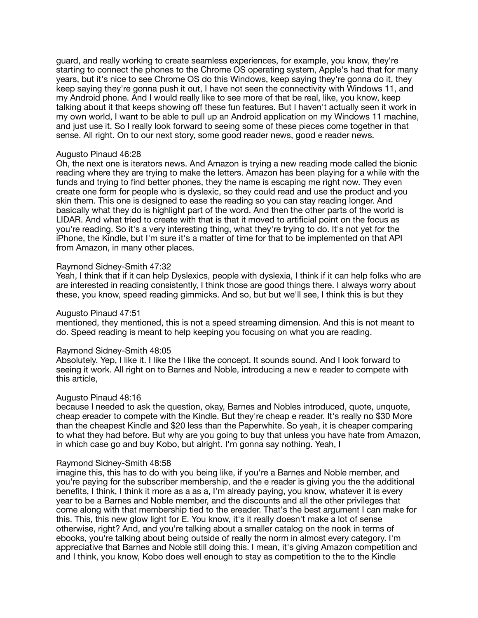guard, and really working to create seamless experiences, for example, you know, they're starting to connect the phones to the Chrome OS operating system, Apple's had that for many years, but it's nice to see Chrome OS do this Windows, keep saying they're gonna do it, they keep saying they're gonna push it out, I have not seen the connectivity with Windows 11, and my Android phone. And I would really like to see more of that be real, like, you know, keep talking about it that keeps showing off these fun features. But I haven't actually seen it work in my own world, I want to be able to pull up an Android application on my Windows 11 machine, and just use it. So I really look forward to seeing some of these pieces come together in that sense. All right. On to our next story, some good reader news, good e reader news.

### Augusto Pinaud 46:28

Oh, the next one is iterators news. And Amazon is trying a new reading mode called the bionic reading where they are trying to make the letters. Amazon has been playing for a while with the funds and trying to find better phones, they the name is escaping me right now. They even create one form for people who is dyslexic, so they could read and use the product and you skin them. This one is designed to ease the reading so you can stay reading longer. And basically what they do is highlight part of the word. And then the other parts of the world is LIDAR. And what tried to create with that is that it moved to artificial point on the focus as you're reading. So it's a very interesting thing, what they're trying to do. It's not yet for the iPhone, the Kindle, but I'm sure it's a matter of time for that to be implemented on that API from Amazon, in many other places.

### Raymond Sidney-Smith 47:32

Yeah, I think that if it can help Dyslexics, people with dyslexia, I think if it can help folks who are are interested in reading consistently, I think those are good things there. I always worry about these, you know, speed reading gimmicks. And so, but but we'll see, I think this is but they

### Augusto Pinaud 47:51

mentioned, they mentioned, this is not a speed streaming dimension. And this is not meant to do. Speed reading is meant to help keeping you focusing on what you are reading.

#### Raymond Sidney-Smith 48:05

Absolutely. Yep, I like it. I like the I like the concept. It sounds sound. And I look forward to seeing it work. All right on to Barnes and Noble, introducing a new e reader to compete with this article,

#### Augusto Pinaud 48:16

because I needed to ask the question, okay, Barnes and Nobles introduced, quote, unquote, cheap ereader to compete with the Kindle. But they're cheap e reader. It's really no \$30 More than the cheapest Kindle and \$20 less than the Paperwhite. So yeah, it is cheaper comparing to what they had before. But why are you going to buy that unless you have hate from Amazon, in which case go and buy Kobo, but alright. I'm gonna say nothing. Yeah, I

#### Raymond Sidney-Smith 48:58

imagine this, this has to do with you being like, if you're a Barnes and Noble member, and you're paying for the subscriber membership, and the e reader is giving you the the additional benefits, I think, I think it more as a as a, I'm already paying, you know, whatever it is every year to be a Barnes and Noble member, and the discounts and all the other privileges that come along with that membership tied to the ereader. That's the best argument I can make for this. This, this new glow light for E. You know, it's it really doesn't make a lot of sense otherwise, right? And, and you're talking about a smaller catalog on the nook in terms of ebooks, you're talking about being outside of really the norm in almost every category. I'm appreciative that Barnes and Noble still doing this. I mean, it's giving Amazon competition and and I think, you know, Kobo does well enough to stay as competition to the to the Kindle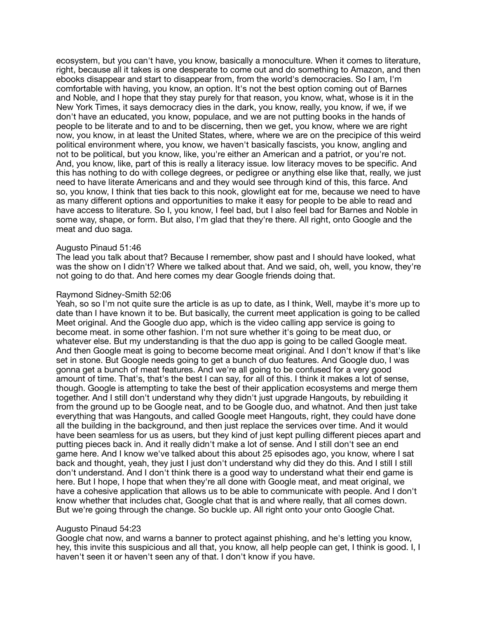ecosystem, but you can't have, you know, basically a monoculture. When it comes to literature, right, because all it takes is one desperate to come out and do something to Amazon, and then ebooks disappear and start to disappear from, from the world's democracies. So I am, I'm comfortable with having, you know, an option. It's not the best option coming out of Barnes and Noble, and I hope that they stay purely for that reason, you know, what, whose is it in the New York Times, it says democracy dies in the dark, you know, really, you know, if we, if we don't have an educated, you know, populace, and we are not putting books in the hands of people to be literate and to and to be discerning, then we get, you know, where we are right now, you know, in at least the United States, where, where we are on the precipice of this weird political environment where, you know, we haven't basically fascists, you know, angling and not to be political, but you know, like, you're either an American and a patriot, or you're not. And, you know, like, part of this is really a literacy issue. low literacy moves to be specific. And this has nothing to do with college degrees, or pedigree or anything else like that, really, we just need to have literate Americans and and they would see through kind of this, this farce. And so, you know, I think that ties back to this nook, glowlight eat for me, because we need to have as many different options and opportunities to make it easy for people to be able to read and have access to literature. So I, you know, I feel bad, but I also feel bad for Barnes and Noble in some way, shape, or form. But also, I'm glad that they're there. All right, onto Google and the meat and duo saga.

#### Augusto Pinaud 51:46

The lead you talk about that? Because I remember, show past and I should have looked, what was the show on I didn't? Where we talked about that. And we said, oh, well, you know, they're not going to do that. And here comes my dear Google friends doing that.

### Raymond Sidney-Smith 52:06

Yeah, so so I'm not quite sure the article is as up to date, as I think, Well, maybe it's more up to date than I have known it to be. But basically, the current meet application is going to be called Meet original. And the Google duo app, which is the video calling app service is going to become meat. in some other fashion. I'm not sure whether it's going to be meat duo, or whatever else. But my understanding is that the duo app is going to be called Google meat. And then Google meat is going to become become meat original. And I don't know if that's like set in stone. But Google needs going to get a bunch of duo features. And Google duo, I was gonna get a bunch of meat features. And we're all going to be confused for a very good amount of time. That's, that's the best I can say, for all of this. I think it makes a lot of sense, though. Google is attempting to take the best of their application ecosystems and merge them together. And I still don't understand why they didn't just upgrade Hangouts, by rebuilding it from the ground up to be Google neat, and to be Google duo, and whatnot. And then just take everything that was Hangouts, and called Google meet Hangouts, right, they could have done all the building in the background, and then just replace the services over time. And it would have been seamless for us as users, but they kind of just kept pulling different pieces apart and putting pieces back in. And it really didn't make a lot of sense. And I still don't see an end game here. And I know we've talked about this about 25 episodes ago, you know, where I sat back and thought, yeah, they just I just don't understand why did they do this. And I still I still don't understand. And I don't think there is a good way to understand what their end game is here. But I hope, I hope that when they're all done with Google meat, and meat original, we have a cohesive application that allows us to be able to communicate with people. And I don't know whether that includes chat, Google chat that is and where really, that all comes down. But we're going through the change. So buckle up. All right onto your onto Google Chat.

# Augusto Pinaud 54:23

Google chat now, and warns a banner to protect against phishing, and he's letting you know, hey, this invite this suspicious and all that, you know, all help people can get, I think is good. I, I haven't seen it or haven't seen any of that. I don't know if you have.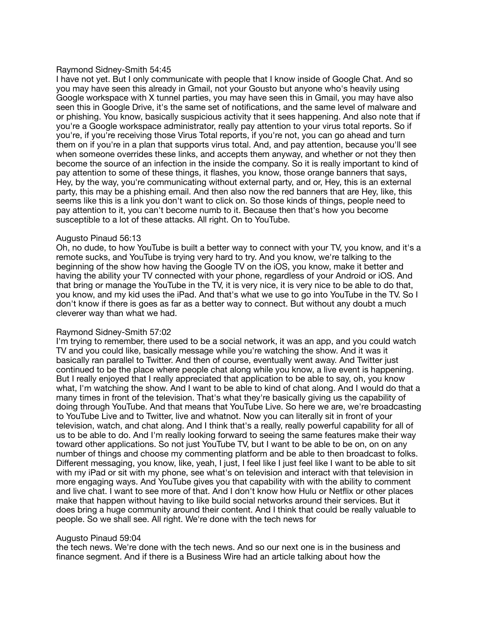### Raymond Sidney-Smith 54:45

I have not yet. But I only communicate with people that I know inside of Google Chat. And so you may have seen this already in Gmail, not your Gousto but anyone who's heavily using Google workspace with X tunnel parties, you may have seen this in Gmail, you may have also seen this in Google Drive, it's the same set of notifications, and the same level of malware and or phishing. You know, basically suspicious activity that it sees happening. And also note that if you're a Google workspace administrator, really pay attention to your virus total reports. So if you're, if you're receiving those Virus Total reports, if you're not, you can go ahead and turn them on if you're in a plan that supports virus total. And, and pay attention, because you'll see when someone overrides these links, and accepts them anyway, and whether or not they then become the source of an infection in the inside the company. So it is really important to kind of pay attention to some of these things, it flashes, you know, those orange banners that says, Hey, by the way, you're communicating without external party, and or, Hey, this is an external party, this may be a phishing email. And then also now the red banners that are Hey, like, this seems like this is a link you don't want to click on. So those kinds of things, people need to pay attention to it, you can't become numb to it. Because then that's how you become susceptible to a lot of these attacks. All right. On to YouTube.

## Augusto Pinaud 56:13

Oh, no dude, to how YouTube is built a better way to connect with your TV, you know, and it's a remote sucks, and YouTube is trying very hard to try. And you know, we're talking to the beginning of the show how having the Google TV on the iOS, you know, make it better and having the ability your TV connected with your phone, regardless of your Android or iOS. And that bring or manage the YouTube in the TV, it is very nice, it is very nice to be able to do that, you know, and my kid uses the iPad. And that's what we use to go into YouTube in the TV. So I don't know if there is goes as far as a better way to connect. But without any doubt a much cleverer way than what we had.

# Raymond Sidney-Smith 57:02

I'm trying to remember, there used to be a social network, it was an app, and you could watch TV and you could like, basically message while you're watching the show. And it was it basically ran parallel to Twitter. And then of course, eventually went away. And Twitter just continued to be the place where people chat along while you know, a live event is happening. But I really enjoyed that I really appreciated that application to be able to say, oh, you know what, I'm watching the show. And I want to be able to kind of chat along. And I would do that a many times in front of the television. That's what they're basically giving us the capability of doing through YouTube. And that means that YouTube Live. So here we are, we're broadcasting to YouTube Live and to Twitter, live and whatnot. Now you can literally sit in front of your television, watch, and chat along. And I think that's a really, really powerful capability for all of us to be able to do. And I'm really looking forward to seeing the same features make their way toward other applications. So not just YouTube TV, but I want to be able to be on, on on any number of things and choose my commenting platform and be able to then broadcast to folks. Different messaging, you know, like, yeah, I just, I feel like I just feel like I want to be able to sit with my iPad or sit with my phone, see what's on television and interact with that television in more engaging ways. And YouTube gives you that capability with with the ability to comment and live chat. I want to see more of that. And I don't know how Hulu or Netflix or other places make that happen without having to like build social networks around their services. But it does bring a huge community around their content. And I think that could be really valuable to people. So we shall see. All right. We're done with the tech news for

### Augusto Pinaud 59:04

the tech news. We're done with the tech news. And so our next one is in the business and finance segment. And if there is a Business Wire had an article talking about how the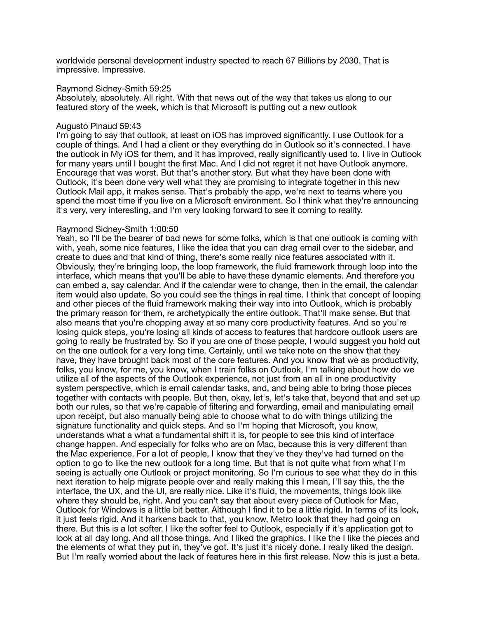worldwide personal development industry spected to reach 67 Billions by 2030. That is impressive. Impressive.

#### Raymond Sidney-Smith 59:25

Absolutely, absolutely. All right. With that news out of the way that takes us along to our featured story of the week, which is that Microsoft is putting out a new outlook

### Augusto Pinaud 59:43

I'm going to say that outlook, at least on iOS has improved significantly. I use Outlook for a couple of things. And I had a client or they everything do in Outlook so it's connected. I have the outlook in My iOS for them, and it has improved, really significantly used to. I live in Outlook for many years until I bought the first Mac. And I did not regret it not have Outlook anymore. Encourage that was worst. But that's another story. But what they have been done with Outlook, it's been done very well what they are promising to integrate together in this new Outlook Mail app, it makes sense. That's probably the app, we're next to teams where you spend the most time if you live on a Microsoft environment. So I think what they're announcing it's very, very interesting, and I'm very looking forward to see it coming to reality.

### Raymond Sidney-Smith 1:00:50

Yeah, so I'll be the bearer of bad news for some folks, which is that one outlook is coming with with, yeah, some nice features, I like the idea that you can drag email over to the sidebar, and create to dues and that kind of thing, there's some really nice features associated with it. Obviously, they're bringing loop, the loop framework, the fluid framework through loop into the interface, which means that you'll be able to have these dynamic elements. And therefore you can embed a, say calendar. And if the calendar were to change, then in the email, the calendar item would also update. So you could see the things in real time. I think that concept of looping and other pieces of the fluid framework making their way into into Outlook, which is probably the primary reason for them, re archetypically the entire outlook. That'll make sense. But that also means that you're chopping away at so many core productivity features. And so you're losing quick steps, you're losing all kinds of access to features that hardcore outlook users are going to really be frustrated by. So if you are one of those people, I would suggest you hold out on the one outlook for a very long time. Certainly, until we take note on the show that they have, they have brought back most of the core features. And you know that we as productivity, folks, you know, for me, you know, when I train folks on Outlook, I'm talking about how do we utilize all of the aspects of the Outlook experience, not just from an all in one productivity system perspective, which is email calendar tasks, and, and being able to bring those pieces together with contacts with people. But then, okay, let's, let's take that, beyond that and set up both our rules, so that we're capable of filtering and forwarding, email and manipulating email upon receipt, but also manually being able to choose what to do with things utilizing the signature functionality and quick steps. And so I'm hoping that Microsoft, you know, understands what a what a fundamental shift it is, for people to see this kind of interface change happen. And especially for folks who are on Mac, because this is very different than the Mac experience. For a lot of people, I know that they've they they've had turned on the option to go to like the new outlook for a long time. But that is not quite what from what I'm seeing is actually one Outlook or project monitoring. So I'm curious to see what they do in this next iteration to help migrate people over and really making this I mean, I'll say this, the the interface, the UX, and the UI, are really nice. Like it's fluid, the movements, things look like where they should be, right. And you can't say that about every piece of Outlook for Mac, Outlook for Windows is a little bit better. Although I find it to be a little rigid. In terms of its look, it just feels rigid. And it harkens back to that, you know, Metro look that they had going on there. But this is a lot softer. I like the softer feel to Outlook, especially if it's application got to look at all day long. And all those things. And I liked the graphics. I like the I like the pieces and the elements of what they put in, they've got. It's just it's nicely done. I really liked the design. But I'm really worried about the lack of features here in this first release. Now this is just a beta.